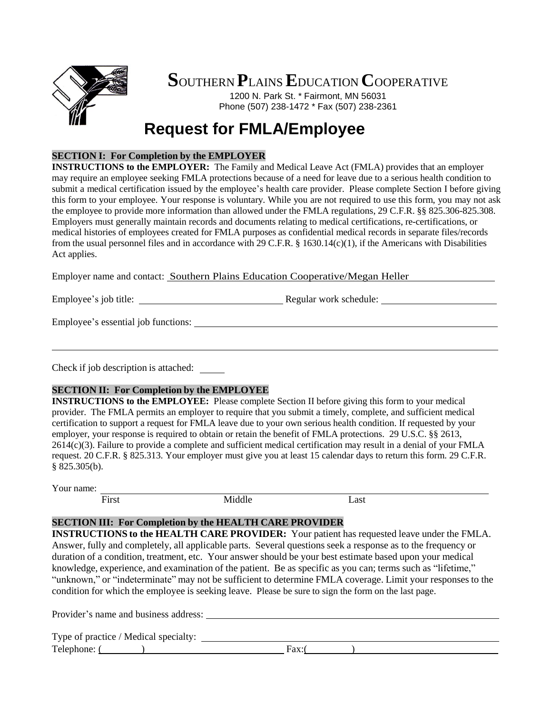

# **S**OUTHERN **P**LAINS**E**DUCATION **C**OOPERATIVE

1200 N. Park St. \* Fairmont, MN 56031 Phone (507) 238-1472 \* Fax (507) 238-2361

# **Request for FMLA/Employee**

### **SECTION I: For Completion by the EMPLOYER**

**INSTRUCTIONS to the EMPLOYER:** The Family and Medical Leave Act (FMLA) provides that an employer may require an employee seeking FMLA protections because of a need for leave due to a serious health condition to submit a medical certification issued by the employee's health care provider. Please complete Section I before giving this form to your employee. Your response is voluntary. While you are not required to use this form, you may not ask the employee to provide more information than allowed under the FMLA regulations, 29 C.F.R. §§ 825.306-825.308. Employers must generally maintain records and documents relating to medical certifications, re-certifications, or medical histories of employees created for FMLA purposes as confidential medical records in separate files/records from the usual personnel files and in accordance with 29 C.F.R. § 1630.14(c)(1), if the Americans with Disabilities Act applies.

Employer name and contact: Southern Plains Education Cooperative/Megan Heller

Employee's job title: Regular work schedule:

Employee's essential job functions:

Check if job description is attached:

### **SECTION II: For Completion by the EMPLOYEE**

**INSTRUCTIONS to the EMPLOYEE:** Please complete Section II before giving this form to your medical provider. The FMLA permits an employer to require that you submit a timely, complete, and sufficient medical certification to support a request for FMLA leave due to your own serious health condition. If requested by your employer, your response is required to obtain or retain the benefit of FMLA protections. 29 U.S.C. §§ 2613, 2614(c)(3). Failure to provide a complete and sufficient medical certification may result in a denial of your FMLA request. 20 C.F.R. § 825.313. Your employer must give you at least 15 calendar days to return this form. 29 C.F.R. § 825.305(b).

Your name:

First Middle Last

## **SECTION III: For Completion by the HEALTH CARE PROVIDER**

**INSTRUCTIONS to the HEALTH CARE PROVIDER:** Your patient has requested leave under the FMLA. Answer, fully and completely, all applicable parts. Several questions seek a response as to the frequency or duration of a condition, treatment, etc. Your answer should be your best estimate based upon your medical knowledge, experience, and examination of the patient. Be as specific as you can; terms such as "lifetime," "unknown," or "indeterminate" may not be sufficient to determine FMLA coverage. Limit your responses to the condition for which the employee is seeking leave. Please be sure to sign the form on the last page.

Provider's name and business address: Type of practice / Medical specialty:  $\text{Telephone:}$  ( ) Fax:  $\left( \begin{array}{ccc} \text{Frequency} & \text{Frequency} & \text{Frequency} & \text{Frequency} & \text{Frequency} & \text{Frequency} & \text{Frequency} & \text{Frequency} & \text{Frequency} & \text{Frequency} & \text{Frequency} & \text{Frequency} & \text{Frequency} & \text{Frequency} & \text{Frequency} & \text{Frequency} & \text{Frequency} & \text{Frequency} & \text{Frequency} & \text{Frequency} & \text{Frequency} & \text{Frequency} & \text{Frequency} & \text{Frequency} & \text{Frequency} & \text{Frequency} & \text{Frequency} & \text{Frequency} & \text{Frequency} & \text{Frequency} & \text{Frequency} & \text{Frequency}$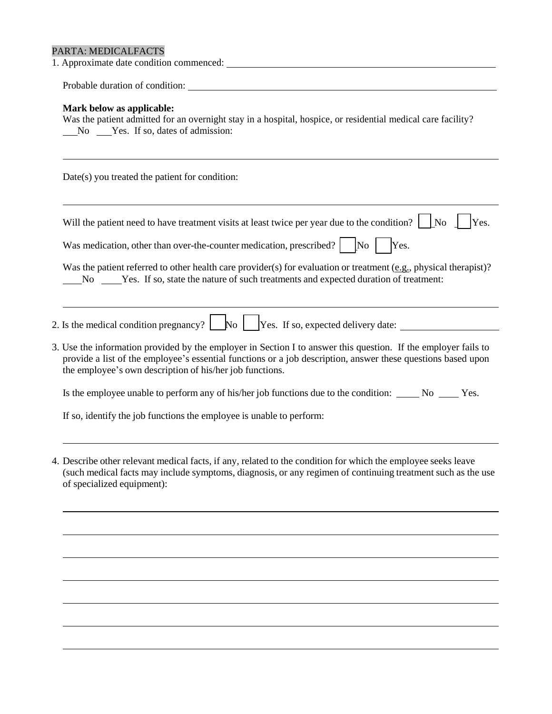## PARTA: MEDICALFACTS

| Mark below as applicable:<br>Was the patient admitted for an overnight stay in a hospital, hospice, or residential medical care facility?                                                                                                                                                  |  |  |  |
|--------------------------------------------------------------------------------------------------------------------------------------------------------------------------------------------------------------------------------------------------------------------------------------------|--|--|--|
| Date(s) you treated the patient for condition:                                                                                                                                                                                                                                             |  |  |  |
| Will the patient need to have treatment visits at least twice per year due to the condition? $\vert \cdot \vert$ No<br>Yes.<br>Was medication, other than over-the-counter medication, prescribed? $\vert$ [No $\vert$<br>Yes.                                                             |  |  |  |
| Was the patient referred to other health care provider(s) for evaluation or treatment (e.g., physical therapist)?<br>No Yes. If so, state the nature of such treatments and expected duration of treatment:                                                                                |  |  |  |
| 2. Is the medical condition pregnancy? $\Box$ No $\Box$ Yes. If so, expected delivery date: $\Box$                                                                                                                                                                                         |  |  |  |
| 3. Use the information provided by the employer in Section I to answer this question. If the employer fails to<br>provide a list of the employee's essential functions or a job description, answer these questions based upon<br>the employee's own description of his/her job functions. |  |  |  |
| Is the employee unable to perform any of his/her job functions due to the condition: No ______ No ______ Yes.                                                                                                                                                                              |  |  |  |
| If so, identify the job functions the employee is unable to perform:                                                                                                                                                                                                                       |  |  |  |
| 4. Describe other relevant medical facts, if any, related to the condition for which the employee seeks leave<br>(such medical facts may include symptoms, diagnosis, or any regimen of continuing treatment such as the use<br>of specialized equipment):                                 |  |  |  |
|                                                                                                                                                                                                                                                                                            |  |  |  |

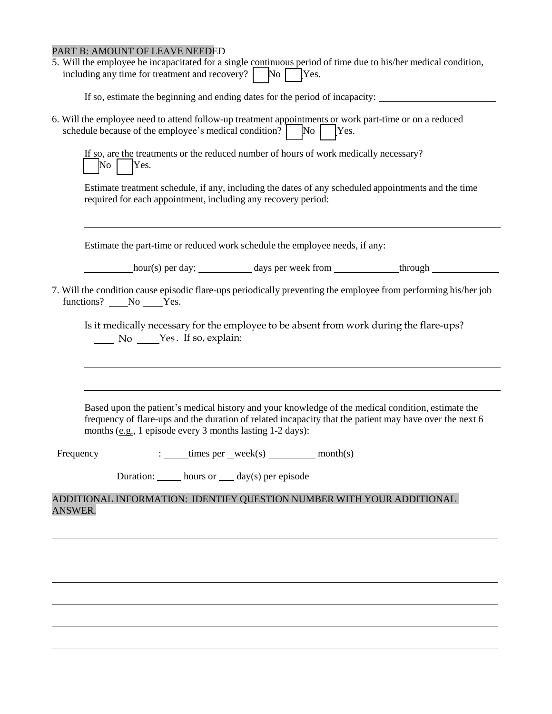#### PART B: AMOUNT OF LEAVE NEEDED

5. Will the employee be incapacitated for a single continuous period of time due to his/her medical condition, including any time for treatment and recovery?  $\vert$  No  $\vert$  Yes.

If so, estimate the beginning and ending dates for the period of incapacity:

6. Will the employee need to attend follow-up treatment appointments or work part-time or on a reduced schedule because of the employee's medical condition?  $\vert$  No  $\vert$  Yes.

|         | If so, are the treatments or the reduced number of hours of work medically necessary? |
|---------|---------------------------------------------------------------------------------------|
| No Yes. |                                                                                       |

Estimate treatment schedule, if any, including the dates of any scheduled appointments and the time required for each appointment, including any recovery period:

Estimate the part-time or reduced work schedule the employee needs, if any:

hour(s) per day; days per week from through

7. Will the condition cause episodic flare-ups periodically preventing the employee from performing his/her job functions? No Yes.

Is it medically necessary for the employee to be absent from work during the flare-ups? No Yes. If so, explain:

Based upon the patient's medical history and your knowledge of the medical condition, estimate the frequency of flare-ups and the duration of related incapacity that the patient may have over the next 6 months (e.g., 1 episode every 3 months lasting 1-2 days):

Frequency : times per week(s) month(s)

Duration: hours or  $\_\_$  day(s) per episode

ADDITIONAL INFORMATION: IDENTIFY QUESTION NUMBER WITH YOUR ADDITIONAL ANSWER.